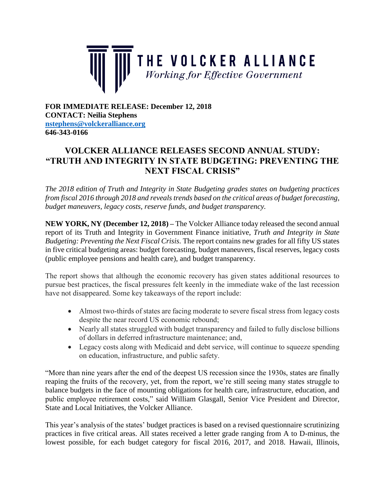

**FOR IMMEDIATE RELEASE: December 12, 2018 CONTACT: Neilia Stephens [nstephens@volckeralliance.org](mailto:nstephens@volckeralliance.org) 646-343-0166**

## **VOLCKER ALLIANCE RELEASES SECOND ANNUAL STUDY: "TRUTH AND INTEGRITY IN STATE BUDGETING: PREVENTING THE NEXT FISCAL CRISIS"**

*The 2018 edition of Truth and Integrity in State Budgeting grades states on budgeting practices from fiscal 2016 through 2018 and reveals trends based on the critical areas of budget forecasting, budget maneuvers, legacy costs, reserve funds, and budget transparency.*

**NEW YORK, NY (December 12, 2018) –** The Volcker Alliance today released the second annual report of its Truth and Integrity in Government Finance initiative, *Truth and Integrity in State Budgeting: Preventing the Next Fiscal Crisis.* The report contains new grades for all fifty US states in five critical budgeting areas: budget forecasting, budget maneuvers, fiscal reserves, legacy costs (public employee pensions and health care), and budget transparency.

The report shows that although the economic recovery has given states additional resources to pursue best practices, the fiscal pressures felt keenly in the immediate wake of the last recession have not disappeared. Some key takeaways of the report include:

- Almost two-thirds of states are facing moderate to severe fiscal stress from legacy costs despite the near record US economic rebound;
- Nearly all states struggled with budget transparency and failed to fully disclose billions of dollars in deferred infrastructure maintenance; and,
- Legacy costs along with Medicaid and debt service, will continue to squeeze spending on education, infrastructure, and public safety.

"More than nine years after the end of the deepest US recession since the 1930s, states are finally reaping the fruits of the recovery, yet, from the report, we're still seeing many states struggle to balance budgets in the face of mounting obligations for health care, infrastructure, education, and public employee retirement costs," said William Glasgall, Senior Vice President and Director, State and Local Initiatives, the Volcker Alliance.

This year's analysis of the states' budget practices is based on a revised questionnaire scrutinizing practices in five critical areas. All states received a letter grade ranging from A to D-minus, the lowest possible, for each budget category for fiscal 2016, 2017, and 2018. Hawaii, Illinois,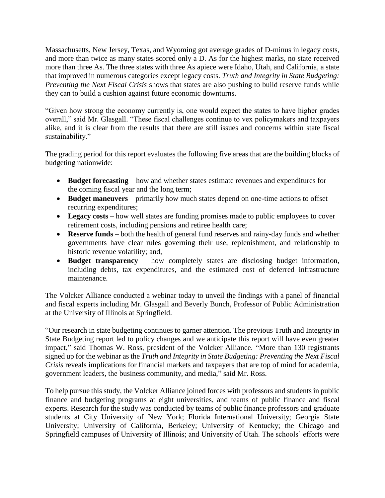Massachusetts, New Jersey, Texas, and Wyoming got average grades of D-minus in legacy costs, and more than twice as many states scored only a D. As for the highest marks, no state received more than three As. The three states with three As apiece were Idaho, Utah, and California, a state that improved in numerous categories except legacy costs*. Truth and Integrity in State Budgeting: Preventing the Next Fiscal Crisis* shows that states are also pushing to build reserve funds while they can to build a cushion against future economic downturns.

"Given how strong the economy currently is, one would expect the states to have higher grades overall," said Mr. Glasgall. "These fiscal challenges continue to vex policymakers and taxpayers alike, and it is clear from the results that there are still issues and concerns within state fiscal sustainability."

The grading period for this report evaluates the following five areas that are the building blocks of budgeting nationwide:

- **Budget forecasting** how and whether states estimate revenues and expenditures for the coming fiscal year and the long term;
- **Budget maneuvers** primarily how much states depend on one-time actions to offset recurring expenditures;
- Legacy costs how well states are funding promises made to public employees to cover retirement costs, including pensions and retiree health care;
- **Reserve funds** both the health of general fund reserves and rainy-day funds and whether governments have clear rules governing their use, replenishment, and relationship to historic revenue volatility; and,
- **Budget transparency** how completely states are disclosing budget information, including debts, tax expenditures, and the estimated cost of deferred infrastructure maintenance.

The Volcker Alliance conducted a webinar today to unveil the findings with a panel of financial and fiscal experts including Mr. Glasgall and Beverly Bunch, Professor of Public Administration at the University of Illinois at Springfield.

"Our research in state budgeting continues to garner attention. The previous Truth and Integrity in State Budgeting report led to policy changes and we anticipate this report will have even greater impact," said Thomas W. Ross, president of the Volcker Alliance. "More than 130 registrants signed up for the webinar as the *Truth and Integrity in State Budgeting: Preventing the Next Fiscal Crisis* reveals implications for financial markets and taxpayers that are top of mind for academia, government leaders, the business community, and media," said Mr. Ross.

To help pursue this study, the Volcker Alliance joined forces with professors and students in public finance and budgeting programs at eight universities, and teams of public finance and fiscal experts. Research for the study was conducted by teams of public finance professors and graduate students at City University of New York; Florida International University; Georgia State University; University of California, Berkeley; University of Kentucky; the Chicago and Springfield campuses of University of Illinois; and University of Utah. The schools' efforts were